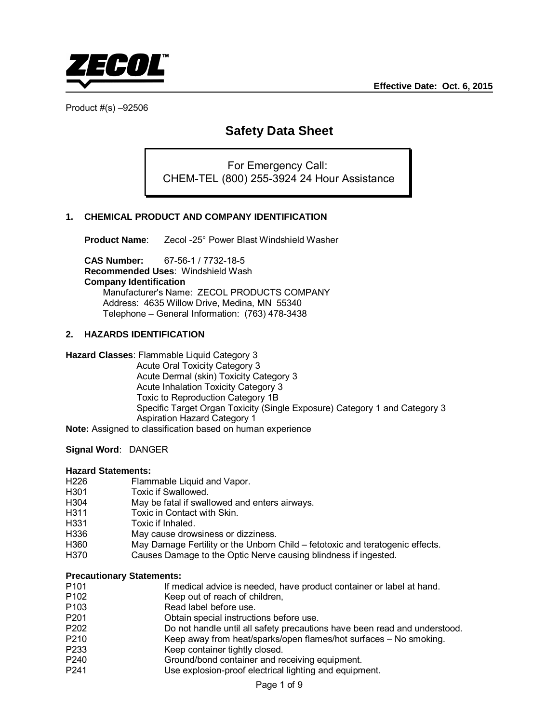

# **Safety Data Sheet**

For Emergency Call: CHEM-TEL (800) 255-3924 24 Hour Assistance

# **1. CHEMICAL PRODUCT AND COMPANY IDENTIFICATION**

**Product Name**: Zecol -25° Power Blast Windshield Washer

**CAS Number:** 67-56-1 / 7732-18-5 **Recommended Uses**: Windshield Wash **Company Identification** Manufacturer's Name: ZECOL PRODUCTS COMPANY Address: 4635 Willow Drive, Medina, MN 55340 Telephone – General Information: (763) 478-3438

#### **2. HAZARDS IDENTIFICATION**

**Hazard Classes**: Flammable Liquid Category 3

 Acute Oral Toxicity Category 3 Acute Dermal (skin) Toxicity Category 3 Acute Inhalation Toxicity Category 3 Toxic to Reproduction Category 1B Specific Target Organ Toxicity (Single Exposure) Category 1 and Category 3 Aspiration Hazard Category 1

**Note:** Assigned to classification based on human experience

#### **Signal Word**: DANGER

# **Hazard Statements:**

- H226 Flammable Liquid and Vapor.<br>H301 Foxic if Swallowed.
- H301 Toxic if Swallowed.<br>H304 May be fatal if swall
- May be fatal if swallowed and enters airways.
- H311 Toxic in Contact with Skin.<br>H331 Toxic if Inhaled.
- Toxic if Inhaled.
- H336 May cause drowsiness or dizziness.
- H360 May Damage Fertility or the Unborn Child fetotoxic and teratogenic effects.<br>H370 Causes Damage to the Optic Nerve causing blindness if ingested
- Causes Damage to the Optic Nerve causing blindness if ingested.

#### **Precautionary Statements:**

- P101 If medical advice is needed, have product container or label at hand.<br>P102 Seep out of reach of children.
- Keep out of reach of children,
- P103 Read label before use.<br>
P201 Cotain special instruction
- P201 **Ditain special instructions before use.**<br>P202 **Do not handle until all safety precaution**
- Do not handle until all safety precautions have been read and understood.
- P210 Keep away from heat/sparks/open flames/hot surfaces No smoking.<br>P233 Keep container tightly closed.
- Keep container tightly closed.
- P240 Ground/bond container and receiving equipment.
- P241 Use explosion-proof electrical lighting and equipment.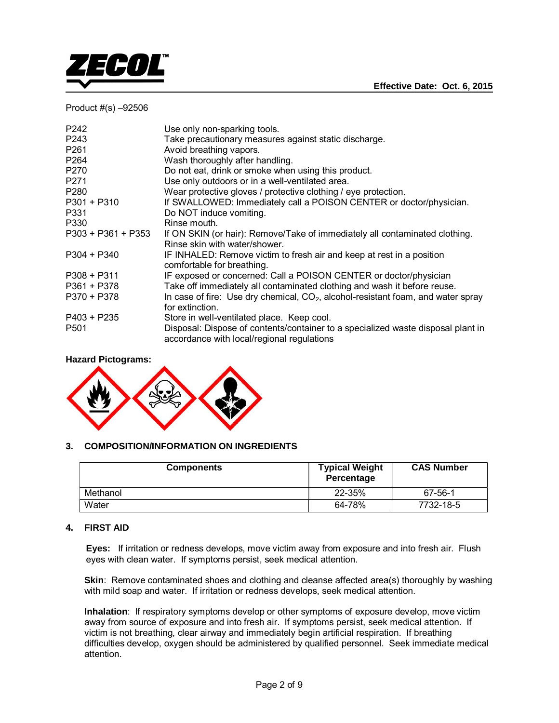



| P243<br>Take precautionary measures against static discharge.                                                                                      |  |
|----------------------------------------------------------------------------------------------------------------------------------------------------|--|
| P <sub>261</sub><br>Avoid breathing vapors.                                                                                                        |  |
| P <sub>264</sub><br>Wash thoroughly after handling.                                                                                                |  |
| Do not eat, drink or smoke when using this product.<br>P270                                                                                        |  |
| P271<br>Use only outdoors or in a well-ventilated area.                                                                                            |  |
| Wear protective gloves / protective clothing / eye protection.<br>P <sub>280</sub>                                                                 |  |
| If SWALLOWED: Immediately call a POISON CENTER or doctor/physician.<br>P301 + P310                                                                 |  |
| Do NOT induce vomiting.<br>P331                                                                                                                    |  |
| Rinse mouth.<br>P330                                                                                                                               |  |
| P303 + P361 + P353<br>If ON SKIN (or hair): Remove/Take of immediately all contaminated clothing.                                                  |  |
| Rinse skin with water/shower.                                                                                                                      |  |
| P304 + P340<br>IF INHALED: Remove victim to fresh air and keep at rest in a position                                                               |  |
| comfortable for breathing.                                                                                                                         |  |
| IF exposed or concerned: Call a POISON CENTER or doctor/physician<br>$P308 + P311$                                                                 |  |
| Take off immediately all contaminated clothing and wash it before reuse.<br>P361 + P378                                                            |  |
| In case of fire: Use dry chemical, $CO2$ , alcohol-resistant foam, and water spray<br>P370 + P378                                                  |  |
| for extinction.                                                                                                                                    |  |
| P403 + P235<br>Store in well-ventilated place. Keep cool.                                                                                          |  |
| Disposal: Dispose of contents/container to a specialized waste disposal plant in<br>P <sub>501</sub><br>accordance with local/regional regulations |  |

#### **Hazard Pictograms:**



# **3. COMPOSITION/INFORMATION ON INGREDIENTS**

| <b>Components</b> | <b>Typical Weight</b><br>Percentage | <b>CAS Number</b> |
|-------------------|-------------------------------------|-------------------|
| Methanol          | 22-35%                              | 67-56-1           |
| Water             | 64-78%                              | 7732-18-5         |

# **4. FIRST AID**

**Eyes:** If irritation or redness develops, move victim away from exposure and into fresh air. Flush eyes with clean water. If symptoms persist, seek medical attention.

**Skin**: Remove contaminated shoes and clothing and cleanse affected area(s) thoroughly by washing with mild soap and water. If irritation or redness develops, seek medical attention.

 **Inhalation**: If respiratory symptoms develop or other symptoms of exposure develop, move victim away from source of exposure and into fresh air. If symptoms persist, seek medical attention. If victim is not breathing, clear airway and immediately begin artificial respiration. If breathing difficulties develop, oxygen should be administered by qualified personnel. Seek immediate medical attention.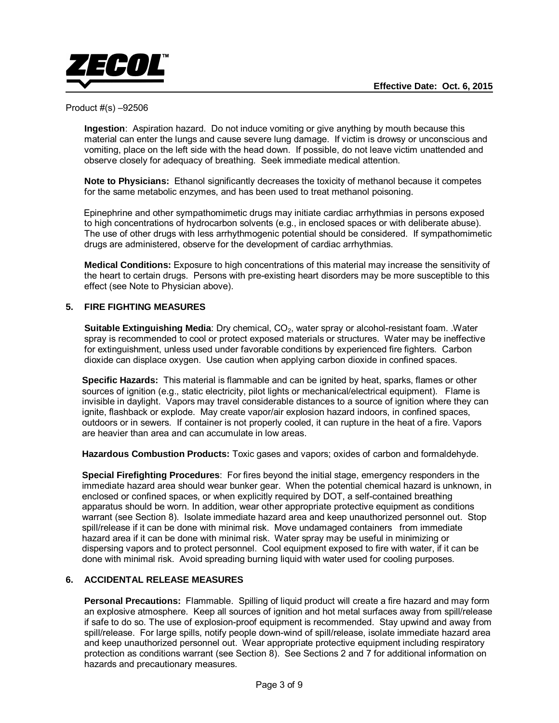

 **Ingestion**: Aspiration hazard. Do not induce vomiting or give anything by mouth because this material can enter the lungs and cause severe lung damage. If victim is drowsy or unconscious and vomiting, place on the left side with the head down. If possible, do not leave victim unattended and observe closely for adequacy of breathing. Seek immediate medical attention.

**Note to Physicians:** Ethanol significantly decreases the toxicity of methanol because it competes for the same metabolic enzymes, and has been used to treat methanol poisoning.

 Epinephrine and other sympathomimetic drugs may initiate cardiac arrhythmias in persons exposed to high concentrations of hydrocarbon solvents (e.g., in enclosed spaces or with deliberate abuse). The use of other drugs with less arrhythmogenic potential should be considered. If sympathomimetic drugs are administered, observe for the development of cardiac arrhythmias.

**Medical Conditions:** Exposure to high concentrations of this material may increase the sensitivity of the heart to certain drugs. Persons with pre-existing heart disorders may be more susceptible to this effect (see Note to Physician above).

# **5. FIRE FIGHTING MEASURES**

**Suitable Extinguishing Media**: Dry chemical, CO<sub>2</sub>, water spray or alcohol-resistant foam. .Water spray is recommended to cool or protect exposed materials or structures. Water may be ineffective for extinguishment, unless used under favorable conditions by experienced fire fighters. Carbon dioxide can displace oxygen. Use caution when applying carbon dioxide in confined spaces.

**Specific Hazards:** This material is flammable and can be ignited by heat, sparks, flames or other sources of ignition (e.g., static electricity, pilot lights or mechanical/electrical equipment). Flame is invisible in daylight. Vapors may travel considerable distances to a source of ignition where they can ignite, flashback or explode. May create vapor/air explosion hazard indoors, in confined spaces, outdoors or in sewers. If container is not properly cooled, it can rupture in the heat of a fire. Vapors are heavier than area and can accumulate in low areas.

**Hazardous Combustion Products:** Toxic gases and vapors; oxides of carbon and formaldehyde.

**Special Firefighting Procedures**: For fires beyond the initial stage, emergency responders in the immediate hazard area should wear bunker gear. When the potential chemical hazard is unknown, in enclosed or confined spaces, or when explicitly required by DOT, a self-contained breathing apparatus should be worn. In addition, wear other appropriate protective equipment as conditions warrant (see Section 8). Isolate immediate hazard area and keep unauthorized personnel out. Stop spill/release if it can be done with minimal risk. Move undamaged containers from immediate hazard area if it can be done with minimal risk. Water spray may be useful in minimizing or dispersing vapors and to protect personnel. Cool equipment exposed to fire with water, if it can be done with minimal risk. Avoid spreading burning liquid with water used for cooling purposes.

#### **6. ACCIDENTAL RELEASE MEASURES**

**Personal Precautions:** Flammable. Spilling of liquid product will create a fire hazard and may form an explosive atmosphere. Keep all sources of ignition and hot metal surfaces away from spill/release if safe to do so. The use of explosion-proof equipment is recommended. Stay upwind and away from spill/release. For large spills, notify people down-wind of spill/release, isolate immediate hazard area and keep unauthorized personnel out. Wear appropriate protective equipment including respiratory protection as conditions warrant (see Section 8). See Sections 2 and 7 for additional information on hazards and precautionary measures.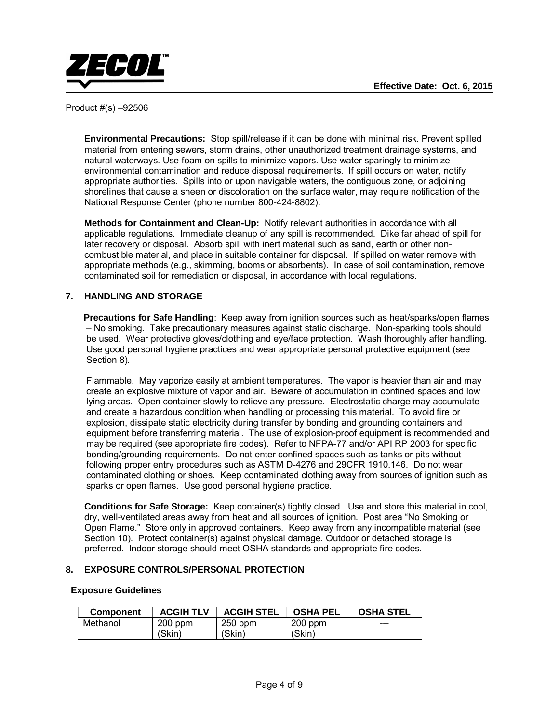

**Environmental Precautions:** Stop spill/release if it can be done with minimal risk. Prevent spilled material from entering sewers, storm drains, other unauthorized treatment drainage systems, and natural waterways. Use foam on spills to minimize vapors. Use water sparingly to minimize environmental contamination and reduce disposal requirements. If spill occurs on water, notify appropriate authorities. Spills into or upon navigable waters, the contiguous zone, or adjoining shorelines that cause a sheen or discoloration on the surface water, may require notification of the National Response Center (phone number 800-424-8802).

**Methods for Containment and Clean-Up:** Notify relevant authorities in accordance with all applicable regulations. Immediate cleanup of any spill is recommended. Dike far ahead of spill for later recovery or disposal. Absorb spill with inert material such as sand, earth or other noncombustible material, and place in suitable container for disposal. If spilled on water remove with appropriate methods (e.g., skimming, booms or absorbents). In case of soil contamination, remove contaminated soil for remediation or disposal, in accordance with local regulations.

# **7. HANDLING AND STORAGE**

 **Precautions for Safe Handling**: Keep away from ignition sources such as heat/sparks/open flames – No smoking. Take precautionary measures against static discharge. Non-sparking tools should be used. Wear protective gloves/clothing and eye/face protection. Wash thoroughly after handling. Use good personal hygiene practices and wear appropriate personal protective equipment (see Section 8).

Flammable. May vaporize easily at ambient temperatures. The vapor is heavier than air and may create an explosive mixture of vapor and air. Beware of accumulation in confined spaces and low lying areas. Open container slowly to relieve any pressure. Electrostatic charge may accumulate and create a hazardous condition when handling or processing this material. To avoid fire or explosion, dissipate static electricity during transfer by bonding and grounding containers and equipment before transferring material. The use of explosion-proof equipment is recommended and may be required (see appropriate fire codes). Refer to NFPA-77 and/or API RP 2003 for specific bonding/grounding requirements. Do not enter confined spaces such as tanks or pits without following proper entry procedures such as ASTM D-4276 and 29CFR 1910.146. Do not wear contaminated clothing or shoes. Keep contaminated clothing away from sources of ignition such as sparks or open flames. Use good personal hygiene practice.

 **Conditions for Safe Storage:** Keep container(s) tightly closed. Use and store this material in cool, dry, well-ventilated areas away from heat and all sources of ignition. Post area "No Smoking or Open Flame." Store only in approved containers. Keep away from any incompatible material (see Section 10). Protect container(s) against physical damage. Outdoor or detached storage is preferred. Indoor storage should meet OSHA standards and appropriate fire codes.

# **8. EXPOSURE CONTROLS/PERSONAL PROTECTION**

# **Exposure Guidelines**

| <b>Component</b> | <b>ACGIH TLV</b> | <b>ACGIH STEL</b> | <b>OSHA PEL</b> | <b>OSHA STEL</b> |
|------------------|------------------|-------------------|-----------------|------------------|
| Methanol         | $200$ ppm        | $250$ ppm         | $200$ ppm       | ---              |
|                  | (Skin)           | (Skin)            | (Skin)          |                  |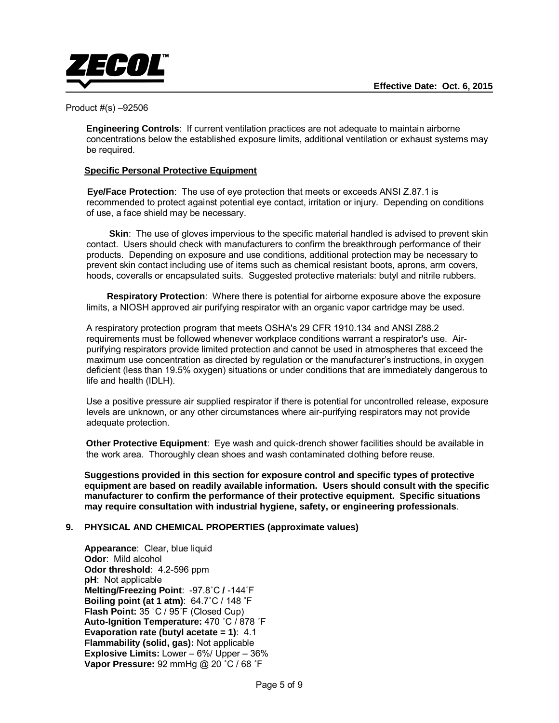

**Engineering Controls**: If current ventilation practices are not adequate to maintain airborne concentrations below the established exposure limits, additional ventilation or exhaust systems may be required.

# **Specific Personal Protective Equipment**

 **Eye/Face Protection**: The use of eye protection that meets or exceeds ANSI Z.87.1 is recommended to protect against potential eye contact, irritation or injury. Depending on conditions of use, a face shield may be necessary.

 **Skin**: The use of gloves impervious to the specific material handled is advised to prevent skin contact. Users should check with manufacturers to confirm the breakthrough performance of their products. Depending on exposure and use conditions, additional protection may be necessary to prevent skin contact including use of items such as chemical resistant boots, aprons, arm covers, hoods, coveralls or encapsulated suits. Suggested protective materials: butyl and nitrile rubbers.

 **Respiratory Protection**: Where there is potential for airborne exposure above the exposure limits, a NIOSH approved air purifying respirator with an organic vapor cartridge may be used.

A respiratory protection program that meets OSHA's 29 CFR 1910.134 and ANSI Z88.2 requirements must be followed whenever workplace conditions warrant a respirator's use. Airpurifying respirators provide limited protection and cannot be used in atmospheres that exceed the maximum use concentration as directed by regulation or the manufacturer's instructions, in oxygen deficient (less than 19.5% oxygen) situations or under conditions that are immediately dangerous to life and health (IDLH).

Use a positive pressure air supplied respirator if there is potential for uncontrolled release, exposure levels are unknown, or any other circumstances where air-purifying respirators may not provide adequate protection.

**Other Protective Equipment**: Eye wash and quick-drench shower facilities should be available in the work area. Thoroughly clean shoes and wash contaminated clothing before reuse.

**Suggestions provided in this section for exposure control and specific types of protective equipment are based on readily available information. Users should consult with the specific manufacturer to confirm the performance of their protective equipment. Specific situations may require consultation with industrial hygiene, safety, or engineering professionals**.

#### **9. PHYSICAL AND CHEMICAL PROPERTIES (approximate values)**

 **Appearance**: Clear, blue liquid **Odor**: Mild alcohol  **Odor threshold**: 4.2-596 ppm  **pH**: Not applicable  **Melting/Freezing Point**: -97.8˚C **/** -144˚F **Boiling point (at 1 atm)**: 64.7˚C / 148 ˚F  **Flash Point:** 35 ˚C / 95˚F (Closed Cup) **Auto-Ignition Temperature:** 470 ˚C / 878 ˚F **Evaporation rate (butyl acetate = 1)**: 4.1  **Flammability (solid, gas):** Not applicable  **Explosive Limits:** Lower – 6%/ Upper – 36%  **Vapor Pressure:** 92 mmHg @ 20 ˚C / 68 ˚F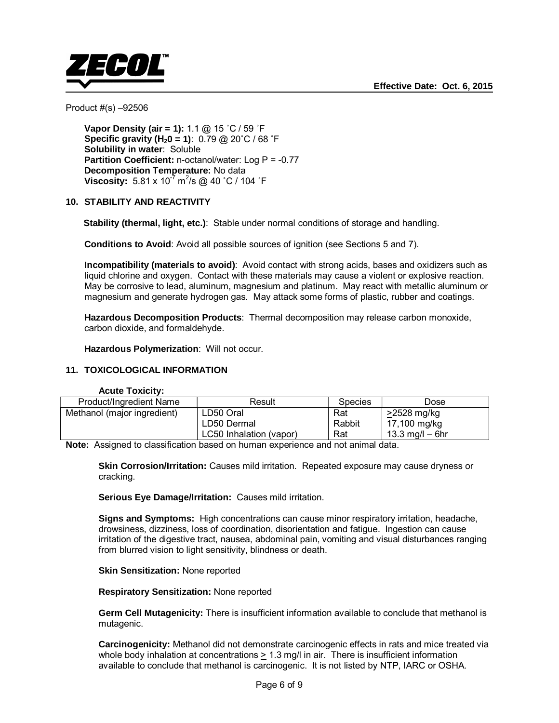

 **Vapor Density (air = 1):** 1.1 @ 15 ˚C / 59 ˚F **Specific gravity (H<sub>2</sub>0 = 1)**:  $0.79 \text{ @ } 20^{\circ} \text{C}$  / 68  $^{\circ} \text{F}$  **Solubility in water**: Soluble **Partition Coefficient:** n-octanol/water: Log P = -0.77  **Decomposition Temperature:** No data **Viscosity:**  $5.81 \times 10^{-7}$  m<sup>2</sup>/s @ 40 °C / 104 °F

#### **10. STABILITY AND REACTIVITY**

 **Stability (thermal, light, etc.)**: Stable under normal conditions of storage and handling.

**Conditions to Avoid:** Avoid all possible sources of ignition (see Sections 5 and 7).

 **Incompatibility (materials to avoid)**: Avoid contact with strong acids, bases and oxidizers such as liquid chlorine and oxygen. Contact with these materials may cause a violent or explosive reaction. May be corrosive to lead, aluminum, magnesium and platinum. May react with metallic aluminum or magnesium and generate hydrogen gas. May attack some forms of plastic, rubber and coatings.

 **Hazardous Decomposition Products**: Thermal decomposition may release carbon monoxide, carbon dioxide, and formaldehyde.

 **Hazardous Polymerization**: Will not occur.

# **11. TOXICOLOGICAL INFORMATION**

#### **Acute Toxicity:**

| Product/Ingredient Name     | Result                  | Species | Dose              |
|-----------------------------|-------------------------|---------|-------------------|
| Methanol (major ingredient) | LD50 Oral               | Rat     | >2528 mg/kg       |
|                             | LD50 Dermal             | Rabbit  | 17,100 mg/kg      |
|                             | LC50 Inhalation (vapor) | Rat     | 13.3 mg/l $-$ 6hr |

**Note:** Assigned to classification based on human experience and not animal data.

**Skin Corrosion/Irritation:** Causes mild irritation. Repeated exposure may cause dryness or cracking.

**Serious Eye Damage/Irritation:** Causes mild irritation.

**Signs and Symptoms:** High concentrations can cause minor respiratory irritation, headache, drowsiness, dizziness, loss of coordination, disorientation and fatigue. Ingestion can cause irritation of the digestive tract, nausea, abdominal pain, vomiting and visual disturbances ranging from blurred vision to light sensitivity, blindness or death.

**Skin Sensitization:** None reported

**Respiratory Sensitization:** None reported

**Germ Cell Mutagenicity:** There is insufficient information available to conclude that methanol is mutagenic.

**Carcinogenicity:** Methanol did not demonstrate carcinogenic effects in rats and mice treated via whole body inhalation at concentrations > 1.3 mg/l in air. There is insufficient information available to conclude that methanol is carcinogenic. It is not listed by NTP, IARC or OSHA.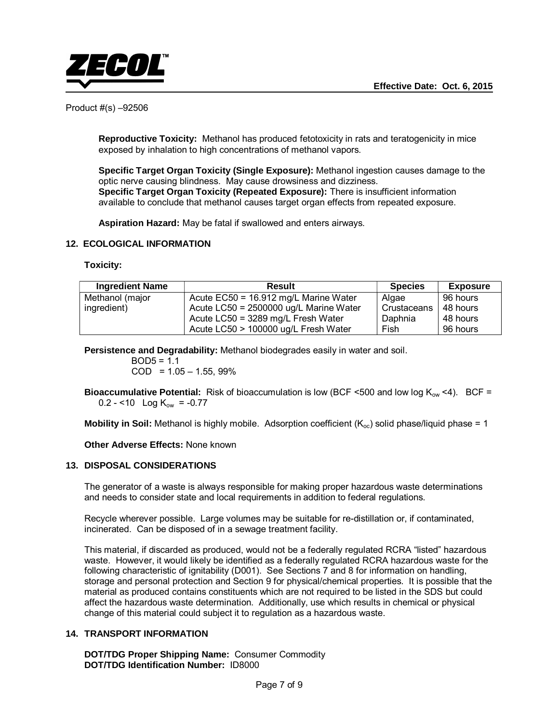

**Reproductive Toxicity:** Methanol has produced fetotoxicity in rats and teratogenicity in mice exposed by inhalation to high concentrations of methanol vapors.

**Specific Target Organ Toxicity (Single Exposure):** Methanol ingestion causes damage to the optic nerve causing blindness. May cause drowsiness and dizziness. **Specific Target Organ Toxicity (Repeated Exposure):** There is insufficient information available to conclude that methanol causes target organ effects from repeated exposure.

**Aspiration Hazard:** May be fatal if swallowed and enters airways.

#### **12. ECOLOGICAL INFORMATION**

**Toxicity:** 

| <b>Ingredient Name</b> | <b>Result</b>                          | <b>Species</b> | <b>Exposure</b> |
|------------------------|----------------------------------------|----------------|-----------------|
| Methanol (major        | Acute EC50 = 16.912 mg/L Marine Water  | Algae          | 96 hours        |
| ingredient)            | Acute LC50 = 2500000 ug/L Marine Water | Crustaceans    | 48 hours        |
|                        | Acute $LC50 = 3289$ mg/L Fresh Water   | Daphnia        | 48 hours        |
|                        | Acute LC50 > 100000 ug/L Fresh Water   | Fish           | 96 hours        |

 **Persistence and Degradability:** Methanol biodegrades easily in water and soil.

 $BOD5 = 1.1$  $COD = 1.05 - 1.55, 99\%$ 

**Bioaccumulative Potential:** Risk of bioaccumulation is low (BCF <500 and low log K<sub>ow</sub> <4). BCF =  $0.2 - 10$  Log K<sub>ow</sub> =  $-0.77$ 

**Mobility in Soil:** Methanol is highly mobile. Adsorption coefficient (K<sub>oc</sub>) solid phase/liquid phase = 1

 **Other Adverse Effects:** None known

#### **13. DISPOSAL CONSIDERATIONS**

The generator of a waste is always responsible for making proper hazardous waste determinations and needs to consider state and local requirements in addition to federal regulations.

Recycle wherever possible. Large volumes may be suitable for re-distillation or, if contaminated, incinerated. Can be disposed of in a sewage treatment facility.

This material, if discarded as produced, would not be a federally regulated RCRA "listed" hazardous waste. However, it would likely be identified as a federally regulated RCRA hazardous waste for the following characteristic of ignitability (D001). See Sections 7 and 8 for information on handling, storage and personal protection and Section 9 for physical/chemical properties. It is possible that the material as produced contains constituents which are not required to be listed in the SDS but could affect the hazardous waste determination. Additionally, use which results in chemical or physical change of this material could subject it to regulation as a hazardous waste.

#### **14. TRANSPORT INFORMATION**

 **DOT/TDG Proper Shipping Name:** Consumer Commodity  **DOT/TDG Identification Number:** ID8000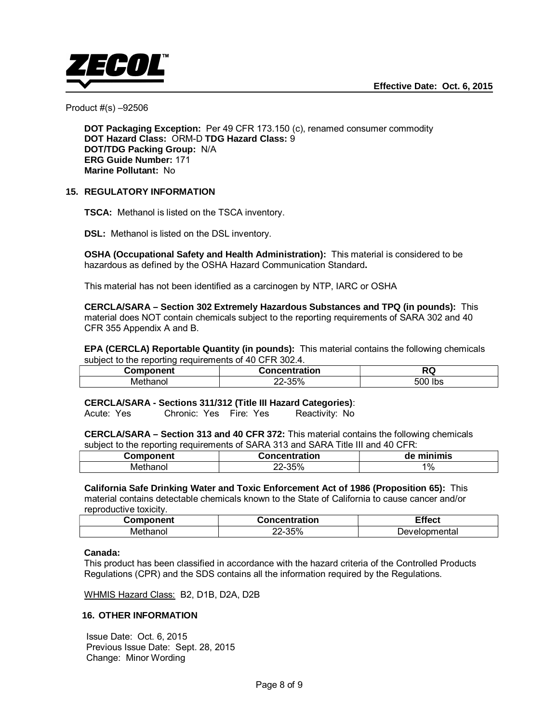

**DOT Packaging Exception:** Per 49 CFR 173.150 (c), renamed consumer commodity  **DOT Hazard Class:** ORM-D **TDG Hazard Class:** 9  **DOT/TDG Packing Group:** N/A  **ERG Guide Number:** 171  **Marine Pollutant:** No

# **15. REGULATORY INFORMATION**

 **TSCA:** Methanol is listed on the TSCA inventory.

**DSL:** Methanol is listed on the DSL inventory.

 **OSHA (Occupational Safety and Health Administration):** This material is considered to be hazardous as defined by the OSHA Hazard Communication Standard**.** 

This material has not been identified as a carcinogen by NTP, IARC or OSHA

 **CERCLA/SARA – Section 302 Extremely Hazardous Substances and TPQ (in pounds):** This material does NOT contain chemicals subject to the reporting requirements of SARA 302 and 40 CFR 355 Appendix A and B.

**EPA (CERCLA) Reportable Quantity (in pounds):** This material contains the following chemicals subject to the reporting requirements of 40 CFR 302.4.

| Component          | oncentration<br>. د                               | $\ddot{\phantom{1}}$ |
|--------------------|---------------------------------------------------|----------------------|
| ------<br>Methanol | $\sim$ $\sim$ $\sim$ $\sim$<br>nn<br>55%-′<br>∠∠− | 500<br>lbs           |

 **CERCLA/SARA - Sections 311/312 (Title III Hazard Categories)**:

Acute: Yes Chronic: Yes Fire: Yes Reactivity: No

**CERCLA/SARA – Section 313 and 40 CFR 372:** This material contains the following chemicals subject to the reporting requirements of SARA 313 and SARA Title III and 40 CFR:

| Component | <b>Concentration</b> | minimis<br>de |
|-----------|----------------------|---------------|
| Methanol  | 35%<br>-∪∪<br>▵      | $1\%$         |

 **California Safe Drinking Water and Toxic Enforcement Act of 1986 (Proposition 65):** This material contains detectable chemicals known to the State of California to cause cancer and/or reproductive toxicity.

| Component      | Concentration | - - -<br>ffect             |
|----------------|---------------|----------------------------|
| ME<br>'nanoi - | 35%           | ∋omental<br><b>Develor</b> |

#### **Canada:**

This product has been classified in accordance with the hazard criteria of the Controlled Products Regulations (CPR) and the SDS contains all the information required by the Regulations.

WHMIS Hazard Class: B2, D1B, D2A, D2B

#### **16. OTHER INFORMATION**

Issue Date: Oct. 6, 2015 Previous Issue Date: Sept. 28, 2015 Change: Minor Wording